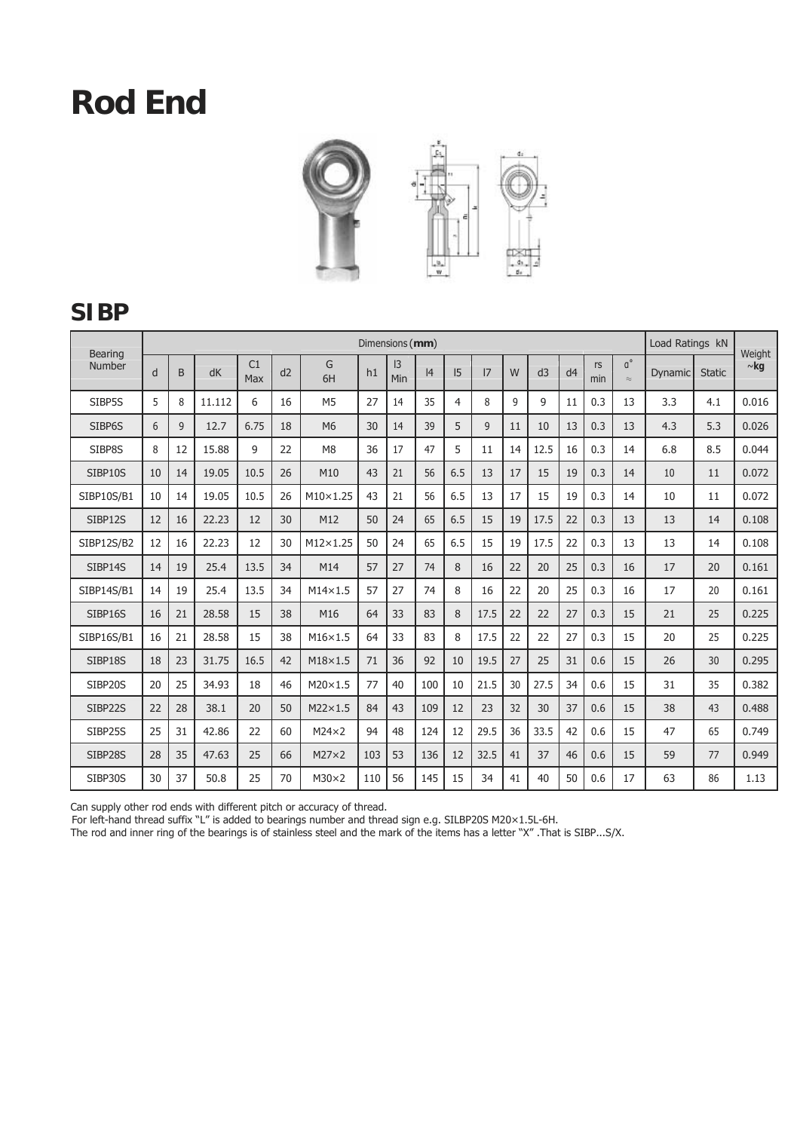

#### **SIBP**

| <b>Bearing</b>    |    |    |        |           |    |                 |     | Dimensions (mm) |     |     |      |              |      |                |           |                                     | Load Ratings kN |               | Weight    |
|-------------------|----|----|--------|-----------|----|-----------------|-----|-----------------|-----|-----|------|--------------|------|----------------|-----------|-------------------------------------|-----------------|---------------|-----------|
| Number            | d  | B  | dK     | C1<br>Max | d2 | G<br>6H         | h1  | 3 <br>Min       | 4   | 5   | 17   | W            | d3   | d <sub>4</sub> | rs<br>min | $\mathfrak{a}^{\circ}$<br>$\approx$ | Dynamic         | <b>Static</b> | $\sim$ kg |
| SIBP5S            | 5  | 8  | 11.112 | 6         | 16 | M <sub>5</sub>  | 27  | 14              | 35  | 4   | 8    | $\mathsf{q}$ | 9    | 11             | 0.3       | 13                                  | 3.3             | 4.1           | 0.016     |
| SIBP6S            | 6  | 9  | 12.7   | 6.75      | 18 | M <sub>6</sub>  | 30  | 14              | 39  | 5   | 9    | 11           | 10   | 13             | 0.3       | 13                                  | 4.3             | 5.3           | 0.026     |
| SIBP8S            | 8  | 12 | 15.88  | 9         | 22 | M <sub>8</sub>  | 36  | 17              | 47  | 5   | 11   | 14           | 12.5 | 16             | 0.3       | 14                                  | 6.8             | 8.5           | 0.044     |
| SIBP10S           | 10 | 14 | 19.05  | 10.5      | 26 | M10             | 43  | 21              | 56  | 6.5 | 13   | 17           | 15   | 19             | 0.3       | 14                                  | 10              | 11            | 0.072     |
| SIBP10S/B1        | 10 | 14 | 19.05  | 10.5      | 26 | $M10\times1.25$ | 43  | 21              | 56  | 6.5 | 13   | 17           | 15   | 19             | 0.3       | 14                                  | 10              | 11            | 0.072     |
| SIBP12S           | 12 | 16 | 22.23  | 12        | 30 | M12             | 50  | 24              | 65  | 6.5 | 15   | 19           | 17.5 | 22             | 0.3       | 13                                  | 13              | 14            | 0.108     |
| <b>SIBP12S/B2</b> | 12 | 16 | 22.23  | 12        | 30 | M12×1.25        | 50  | 24              | 65  | 6.5 | 15   | 19           | 17.5 | 22             | 0.3       | 13                                  | 13              | 14            | 0.108     |
| SIBP14S           | 14 | 19 | 25.4   | 13.5      | 34 | M14             | 57  | 27              | 74  | 8   | 16   | 22           | 20   | 25             | 0.3       | 16                                  | 17              | 20            | 0.161     |
| SIBP14S/B1        | 14 | 19 | 25.4   | 13.5      | 34 | $M14\times1.5$  | 57  | 27              | 74  | 8   | 16   | 22           | 20   | 25             | 0.3       | 16                                  | 17              | 20            | 0.161     |
| SIBP16S           | 16 | 21 | 28.58  | 15        | 38 | M16             | 64  | 33              | 83  | 8   | 17.5 | 22           | 22   | 27             | 0.3       | 15                                  | 21              | 25            | 0.225     |
| SIBP16S/B1        | 16 | 21 | 28.58  | 15        | 38 | $M16\times1.5$  | 64  | 33              | 83  | 8   | 17.5 | 22           | 22   | 27             | 0.3       | 15                                  | 20              | 25            | 0.225     |
| SIBP18S           | 18 | 23 | 31.75  | 16.5      | 42 | $M18\times1.5$  | 71  | 36              | 92  | 10  | 19.5 | 27           | 25   | 31             | 0.6       | 15                                  | 26              | 30            | 0.295     |
| SIBP20S           | 20 | 25 | 34.93  | 18        | 46 | $M20\times1.5$  | 77  | 40              | 100 | 10  | 21.5 | 30           | 27.5 | 34             | 0.6       | 15                                  | 31              | 35            | 0.382     |
| SIBP22S           | 22 | 28 | 38.1   | 20        | 50 | $M22\times1.5$  | 84  | 43              | 109 | 12  | 23   | 32           | 30   | 37             | 0.6       | 15                                  | 38              | 43            | 0.488     |
| SIBP25S           | 25 | 31 | 42.86  | 22        | 60 | $M24\times2$    | 94  | 48              | 124 | 12  | 29.5 | 36           | 33.5 | 42             | 0.6       | 15                                  | 47              | 65            | 0.749     |
| SIBP28S           | 28 | 35 | 47.63  | 25        | 66 | $M27\times2$    | 103 | 53              | 136 | 12  | 32.5 | 41           | 37   | 46             | 0.6       | 15                                  | 59              | 77            | 0.949     |
| SIBP30S           | 30 | 37 | 50.8   | 25        | 70 | $M30\times2$    | 110 | 56              | 145 | 15  | 34   | 41           | 40   | 50             | 0.6       | 17                                  | 63              | 86            | 1.13      |

Can supply other rod ends with different pitch or accuracy of thread.

For left-hand thread suffix "L" is added to bearings number and thread sign e.g. SILBP20S M20×1.5L-6H.

The rod and inner ring of the bearings is of stainless steel and the mark of the items has a letter "X" .That is SIBP...S/X.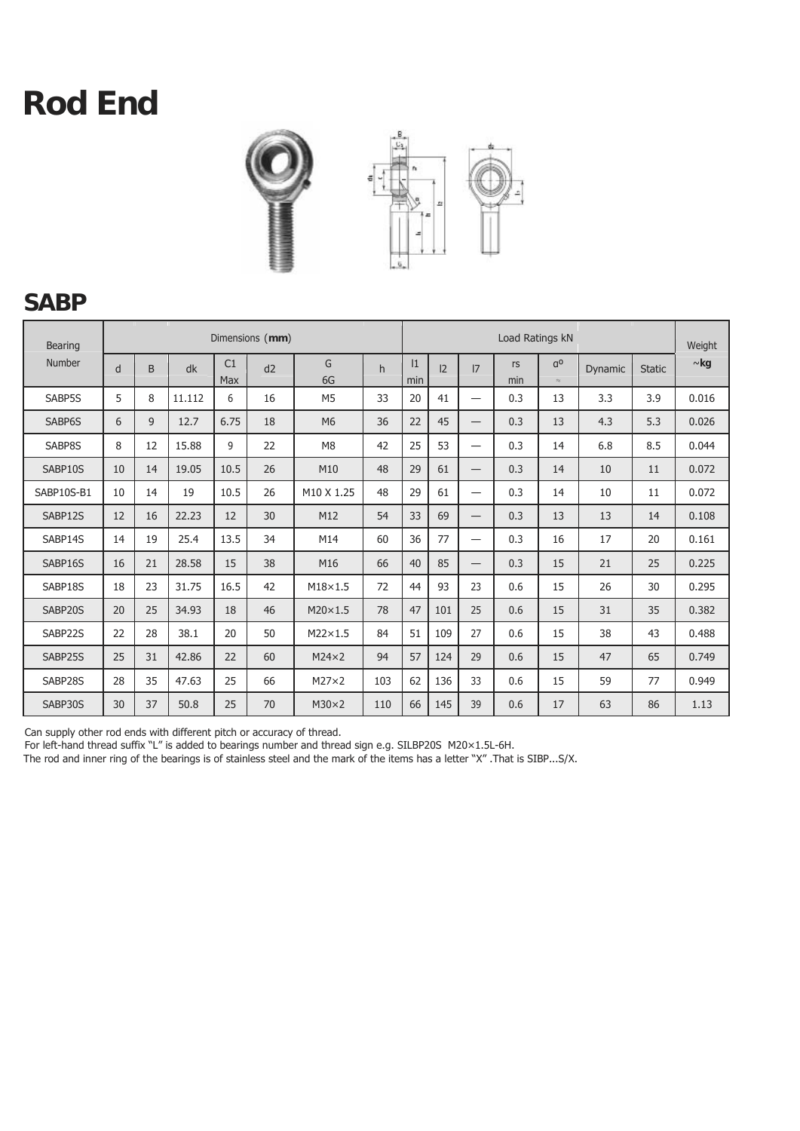

#### **SABP**

| <b>Bearing</b> |    |    |        |                  | Dimensions (mm) |                        |     |          |     | Weight                   |           |                          |         |               |           |
|----------------|----|----|--------|------------------|-----------------|------------------------|-----|----------|-----|--------------------------|-----------|--------------------------|---------|---------------|-----------|
| Number         | d  | B  | dk     | C1<br><b>Max</b> | d2              | G<br>6G                | h   | 1<br>min | 2   | 17                       | rs<br>min | $q^{\circ}$<br>$\approx$ | Dynamic | <b>Static</b> | $\sim$ kg |
| SABP5S         | 5  | 8  | 11.112 | 6                | 16              | M <sub>5</sub>         | 33  | 20       | 41  | $\overline{\phantom{0}}$ | 0.3       | 13                       | 3.3     | 3.9           | 0.016     |
| SABP6S         | 6  | 9  | 12.7   | 6.75             | 18              | M <sub>6</sub>         | 36  | 22       | 45  |                          | 0.3       | 13                       | 4.3     | 5.3           | 0.026     |
| SABP8S         | 8  | 12 | 15.88  | 9                | 22              | M <sub>8</sub>         | 42  | 25       | 53  | $\overline{\phantom{0}}$ | 0.3       | 14                       | 6.8     | 8.5           | 0.044     |
| SABP10S        | 10 | 14 | 19.05  | 10.5             | 26              | M10                    | 48  | 29       | 61  | $\overline{\phantom{0}}$ | 0.3       | 14                       | 10      | 11            | 0.072     |
| SABP10S-B1     | 10 | 14 | 19     | 10.5             | 26              | M <sub>10</sub> X 1.25 | 48  | 29       | 61  | —                        | 0.3       | 14                       | 10      | 11            | 0.072     |
| SABP12S        | 12 | 16 | 22.23  | 12               | 30              | M12                    | 54  | 33       | 69  | $\overline{\phantom{0}}$ | 0.3       | 13                       | 13      | 14            | 0.108     |
| SABP14S        | 14 | 19 | 25.4   | 13.5             | 34              | M14                    | 60  | 36       | 77  | $\overline{\phantom{0}}$ | 0.3       | 16                       | 17      | 20            | 0.161     |
| SABP16S        | 16 | 21 | 28.58  | 15               | 38              | M16                    | 66  | 40       | 85  | $\overline{\phantom{0}}$ | 0.3       | 15                       | 21      | 25            | 0.225     |
| SABP18S        | 18 | 23 | 31.75  | 16.5             | 42              | $M18\times1.5$         | 72  | 44       | 93  | 23                       | 0.6       | 15                       | 26      | 30            | 0.295     |
| SABP20S        | 20 | 25 | 34.93  | 18               | 46              | $M20\times1.5$         | 78  | 47       | 101 | 25                       | 0.6       | 15                       | 31      | 35            | 0.382     |
| SABP22S        | 22 | 28 | 38.1   | 20               | 50              | $M22\times1.5$         | 84  | 51       | 109 | 27                       | 0.6       | 15                       | 38      | 43            | 0.488     |
| SABP25S        | 25 | 31 | 42.86  | 22               | 60              | $M24\times2$           | 94  | 57       | 124 | 29                       | 0.6       | 15                       | 47      | 65            | 0.749     |
| SABP28S        | 28 | 35 | 47.63  | 25               | 66              | $M27\times2$           | 103 | 62       | 136 | 33                       | 0.6       | 15                       | 59      | 77            | 0.949     |
| SABP30S        | 30 | 37 | 50.8   | 25               | 70              | $M30\times2$           | 110 | 66       | 145 | 39                       | 0.6       | 17                       | 63      | 86            | 1.13      |

Can supply other rod ends with different pitch or accuracy of thread.

For left-hand thread suffix "L" is added to bearings number and thread sign e.g. SILBP20S M20×1.5L-6H.

The rod and inner ring of the bearings is of stainless steel and the mark of the items has a letter "X" .That is SIBP...S/X.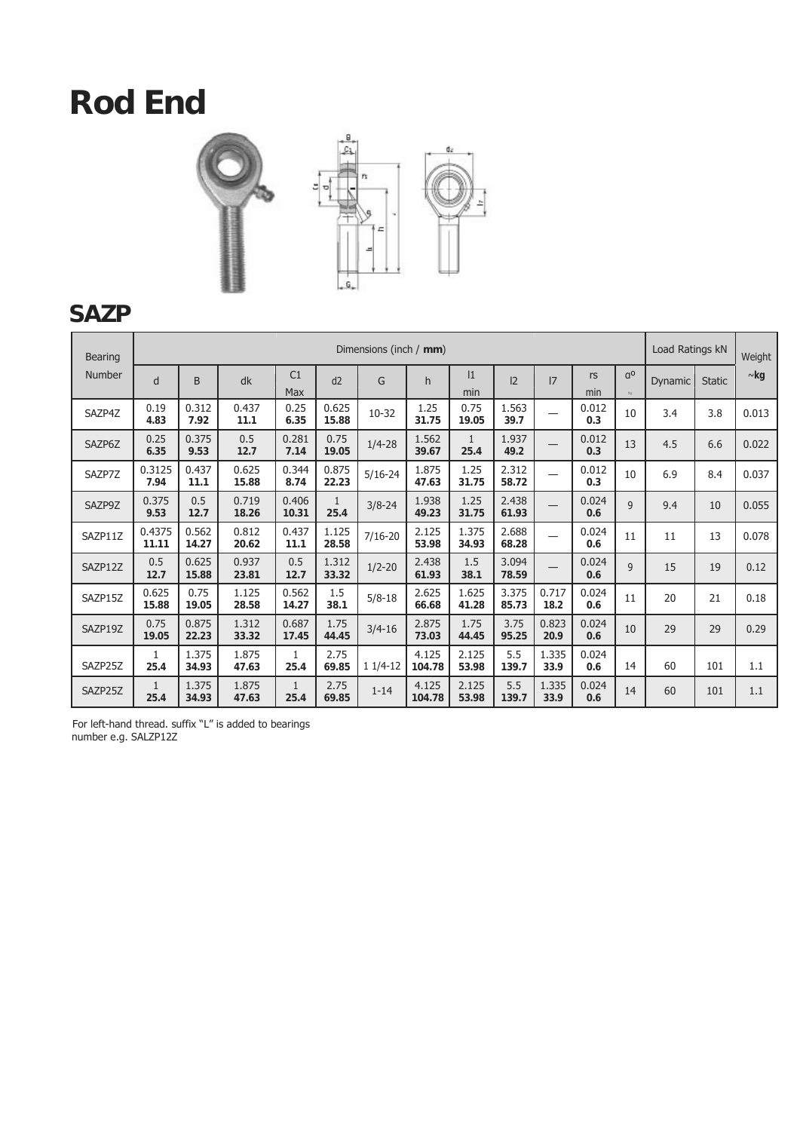



### **SAZP**

| <b>Bearing</b> |                      |                |                |                      |                      | Dimensions (inch / mm) |                 |                |                |               |              |                             | Load Ratings kN |               | Weight    |
|----------------|----------------------|----------------|----------------|----------------------|----------------------|------------------------|-----------------|----------------|----------------|---------------|--------------|-----------------------------|-----------------|---------------|-----------|
| Number         | d                    | B              | dk             | C1<br>Max            | d2                   | G                      | h               | 1<br>min       | 2              | 17            | rs<br>min    | q <sup>0</sup><br>$\approx$ | Dynamic         | <b>Static</b> | $\sim$ kg |
| SAZP4Z         | 0.19<br>4.83         | 0.312<br>7.92  | 0.437<br>11.1  | 0.25<br>6.35         | 0.625<br>15.88       | $10-32$                | 1.25<br>31.75   | 0.75<br>19.05  | 1.563<br>39.7  |               | 0.012<br>0.3 | 10                          | 3.4             | 3.8           | 0.013     |
| SAZP6Z         | 0.25<br>6.35         | 0.375<br>9.53  | 0.5<br>12.7    | 0.281<br>7.14        | 0.75<br>19.05        | $1/4 - 28$             | 1.562<br>39.67  | 1<br>25.4      | 1.937<br>49.2  |               | 0.012<br>0.3 | 13                          | 4.5             | 6.6           | 0.022     |
| SAZP7Z         | 0.3125<br>7.94       | 0.437<br>11.1  | 0.625<br>15.88 | 0.344<br>8.74        | 0.875<br>22.23       | $5/16 - 24$            | 1.875<br>47.63  | 1.25<br>31.75  | 2.312<br>58.72 |               | 0.012<br>0.3 | 10                          | 6.9             | 8.4           | 0.037     |
| SAZP9Z         | 0.375<br>9.53        | 0.5<br>12.7    | 0.719<br>18.26 | 0.406<br>10.31       | $\mathbf{1}$<br>25.4 | $3/8 - 24$             | 1.938<br>49.23  | 1.25<br>31.75  | 2.438<br>61.93 |               | 0.024<br>0.6 | $\mathsf{q}$                | 9.4             | 10            | 0.055     |
| SAZP11Z        | 0.4375<br>11.11      | 0.562<br>14.27 | 0.812<br>20.62 | 0.437<br>11.1        | 1.125<br>28.58       | $7/16 - 20$            | 2.125<br>53.98  | 1.375<br>34.93 | 2.688<br>68.28 |               | 0.024<br>0.6 | 11                          | 11              | 13            | 0.078     |
| SAZP12Z        | 0.5<br>12.7          | 0.625<br>15.88 | 0.937<br>23.81 | 0.5<br>12.7          | 1.312<br>33.32       | $1/2 - 20$             | 2.438<br>61.93  | 1.5<br>38.1    | 3.094<br>78.59 |               | 0.024<br>0.6 | $\overline{9}$              | 15              | 19            | 0.12      |
| SAZP15Z        | 0.625<br>15.88       | 0.75<br>19.05  | 1.125<br>28.58 | 0.562<br>14.27       | 1.5<br>38.1          | $5/8 - 18$             | 2.625<br>66.68  | 1.625<br>41.28 | 3.375<br>85.73 | 0.717<br>18.2 | 0.024<br>0.6 | 11                          | 20              | 21            | 0.18      |
| SAZP19Z        | 0.75<br>19.05        | 0.875<br>22.23 | 1.312<br>33.32 | 0.687<br>17.45       | 1.75<br>44.45        | $3/4 - 16$             | 2.875<br>73.03  | 1.75<br>44.45  | 3.75<br>95.25  | 0.823<br>20.9 | 0.024<br>0.6 | 10                          | 29              | 29            | 0.29      |
| SAZP25Z        | $\mathbf{1}$<br>25.4 | 1.375<br>34.93 | 1.875<br>47.63 | $\mathbf{1}$<br>25.4 | 2.75<br>69.85        | $11/4-12$              | 4.125<br>104.78 | 2.125<br>53.98 | 5.5<br>139.7   | 1.335<br>33.9 | 0.024<br>0.6 | 14                          | 60              | 101           | 1.1       |
| SAZP25Z        | $\mathbf{1}$<br>25.4 | 1.375<br>34.93 | 1.875<br>47.63 | $\mathbf{1}$<br>25.4 | 2.75<br>69.85        | $1 - 14$               | 4.125<br>104.78 | 2.125<br>53.98 | 5.5<br>139.7   | 1.335<br>33.9 | 0.024<br>0.6 | 14                          | 60              | 101           | 1.1       |

For left-hand thread. suffix "L" is added to bearings number e.g. SALZP12Z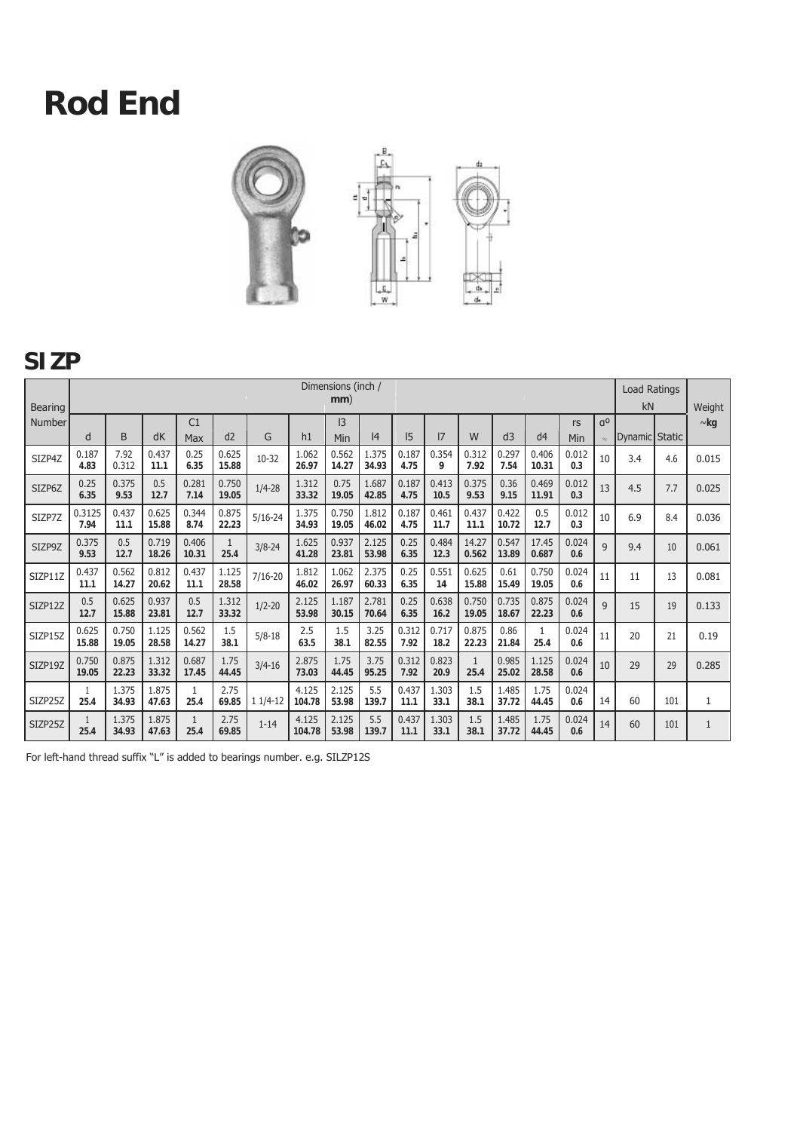

#### **SIZP**

| <b>Bearing</b> |                | Dimensions (inch /<br>mm) |                |                      |                |             |                 |                      |                |               |               |                      |                |                      |              |                             | <b>Load Ratings</b><br>kN |     | Weight       |
|----------------|----------------|---------------------------|----------------|----------------------|----------------|-------------|-----------------|----------------------|----------------|---------------|---------------|----------------------|----------------|----------------------|--------------|-----------------------------|---------------------------|-----|--------------|
| Number         | d              | B                         | dK             | C1<br>Max            | d2             | G           | h1              | $\mathsf{I}3$<br>Min | 14             | 5             | 17            | W                    | d3             | d <sub>4</sub>       | rs<br>Min    | 0 <sub>D</sub><br>$\approx$ | Dynamic Static            |     | $\sim$ kg    |
| SIZP4Z         | 0.187<br>4.83  | 7.92<br>0.312             | 0.437<br>11.1  | 0.25<br>6.35         | 0.625<br>15.88 | $10 - 32$   | 1.062<br>26.97  | 0.562<br>14.27       | 1.375<br>34.93 | 0.187<br>4.75 | 0.354<br>9    | 0.312<br>7.92        | 0.297<br>7.54  | 0.406<br>10.31       | 0.012<br>0.3 | 10                          | 3.4                       | 4.6 | 0.015        |
| SIZP6Z         | 0.25<br>6.35   | 0.375<br>9.53             | 0.5<br>12.7    | 0.281<br>7.14        | 0.750<br>19.05 | $1/4 - 28$  | 1.312<br>33.32  | 0.75<br>19.05        | 1.687<br>42.85 | 0.187<br>4.75 | 0.413<br>10.5 | 0.375<br>9.53        | 0.36<br>9.15   | 0.469<br>11.91       | 0.012<br>0.3 | 13                          | 4.5                       | 7.7 | 0.025        |
| SIZP7Z         | 0.3125<br>7.94 | 0.437<br>11.1             | 0.625<br>15.88 | 0.344<br>8.74        | 0.875<br>22.23 | $5/16 - 24$ | 1.375<br>34.93  | 0.750<br>19.05       | 1.812<br>46.02 | 0.187<br>4.75 | 0.461<br>11.7 | 0.437<br>11.1        | 0.422<br>10.72 | 0.5<br>12.7          | 0.012<br>0.3 | 10                          | 6.9                       | 8.4 | 0.036        |
| SIZP9Z         | 0.375<br>9.53  | 0.5<br>12.7               | 0.719<br>18.26 | 0.406<br>10.31       | 1<br>25.4      | $3/8 - 24$  | 1.625<br>41.28  | 0.937<br>23.81       | 2.125<br>53.98 | 0.25<br>6.35  | 0.484<br>12.3 | 14.27<br>0.562       | 0.547<br>13.89 | 17.45<br>0.687       | 0.024<br>0.6 | 9                           | 9.4                       | 10  | 0.061        |
| SIZP11Z        | 0.437<br>11.1  | 0.562<br>14.27            | 0.812<br>20.62 | 0.437<br>11.1        | 1.125<br>28.58 | $7/16 - 20$ | 1.812<br>46.02  | 1.062<br>26.97       | 2.375<br>60.33 | 0.25<br>6.35  | 0.551<br>14   | 0.625<br>15.88       | 0.61<br>15.49  | 0.750<br>19.05       | 0.024<br>0.6 | 11                          | 11                        | 13  | 0.081        |
| SIZP12Z        | 0.5<br>12.7    | 0.625<br>15.88            | 0.937<br>23.81 | 0.5<br>12.7          | 1.312<br>33.32 | $1/2 - 20$  | 2.125<br>53.98  | 1.187<br>30.15       | 2.781<br>70.64 | 0.25<br>6.35  | 0.638<br>16.2 | 0.750<br>19.05       | 0.735<br>18.67 | 0.875<br>22.23       | 0.024<br>0.6 | $\mathsf{q}$                | 15                        | 19  | 0.133        |
| SIZP15Z        | 0.625<br>15.88 | 0.750<br>19.05            | 1.125<br>28.58 | 0.562<br>14.27       | 1.5<br>38.1    | $5/8 - 18$  | 2.5<br>63.5     | 1.5<br>38.1          | 3.25<br>82.55  | 0.312<br>7.92 | 0.717<br>18.2 | 0.875<br>22.23       | 0.86<br>21.84  | $\mathbf{1}$<br>25.4 | 0.024<br>0.6 | 11                          | 20                        | 21  | 0.19         |
| SIZP19Z        | 0.750<br>19.05 | 0.875<br>22.23            | 1.312<br>33.32 | 0.687<br>17.45       | 1.75<br>44.45  | $3/4 - 16$  | 2.875<br>73.03  | 1.75<br>44.45        | 3.75<br>95.25  | 0.312<br>7.92 | 0.823<br>20.9 | $\mathbf{1}$<br>25.4 | 0.985<br>25.02 | 1.125<br>28.58       | 0.024<br>0.6 | 10                          | 29                        | 29  | 0.285        |
| SIZP25Z        | 25.4           | 1.375<br>34.93            | 1.875<br>47.63 | 1<br>25.4            | 2.75<br>69.85  | $11/4-12$   | 4.125<br>104.78 | 2.125<br>53.98       | 5.5<br>139.7   | 0.437<br>11.1 | 1.303<br>33.1 | 1.5<br>38.1          | 1.485<br>37.72 | 1.75<br>44.45        | 0.024<br>0.6 | 14                          | 60                        | 101 | 1            |
| SIZP25Z        | 25.4           | 1.375<br>34.93            | 1.875<br>47.63 | $\mathbf{1}$<br>25.4 | 2.75<br>69.85  | $1 - 14$    | 4.125<br>104.78 | 2.125<br>53.98       | 5.5<br>139.7   | 0.437<br>11.1 | 1.303<br>33.1 | 1.5<br>38.1          | 1.485<br>37.72 | 1.75<br>44.45        | 0.024<br>0.6 | 14                          | 60                        | 101 | $\mathbf{1}$ |

For left-hand thread suffix "L" is added to bearings number. e.g. SILZP12S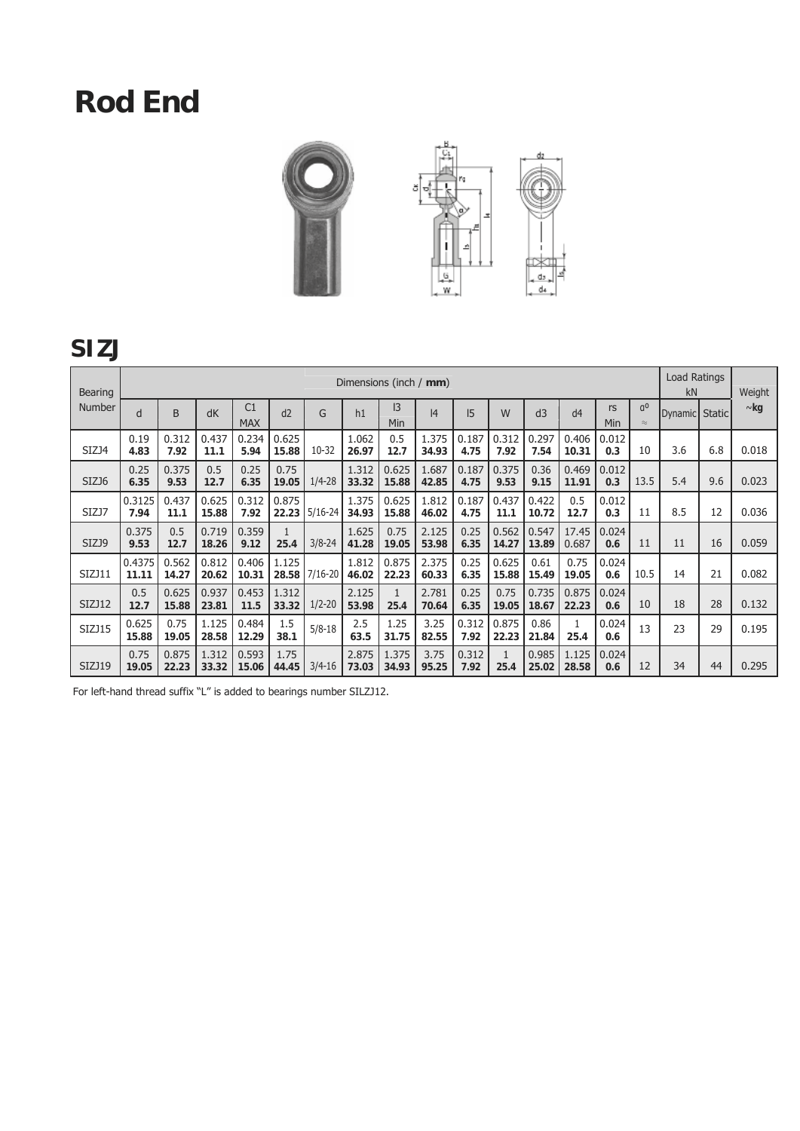

### **SIZJ**

| <b>Bearing</b> |                 |                |                |                              |                |             | Dimensions (inch / mm) |                      |                |               |                      |                |                |              |                             | Load Ratings<br>kN |     | Weight    |
|----------------|-----------------|----------------|----------------|------------------------------|----------------|-------------|------------------------|----------------------|----------------|---------------|----------------------|----------------|----------------|--------------|-----------------------------|--------------------|-----|-----------|
| Number         | d               | B              | dK             | C <sub>1</sub><br><b>MAX</b> | d2             | G           | h1                     | 3<br>Min             | 4              | 15            | W                    | d3             | d4             | rs<br>Min    | q <sup>0</sup><br>$\approx$ | Dynamic Static     |     | $\sim$ kg |
| SIZJ4          | 0.19<br>4.83    | 0.312<br>7.92  | 0.437<br>11.1  | 0.234<br>5.94                | 0.625<br>15.88 | $10-32$     | 1.062<br>26.97         | 0.5<br>12.7          | 1.375<br>34.93 | 0.187<br>4.75 | 0.312<br>7.92        | 0.297<br>7.54  | 0.406<br>10.31 | 0.012<br>0.3 | 10                          | 3.6                | 6.8 | 0.018     |
| SIZJ6          | 0.25<br>6.35    | 0.375<br>9.53  | 0.5<br>12.7    | 0.25<br>6.35                 | 0.75<br>19.05  | $1/4 - 28$  | 1.312<br>33.32         | 0.625<br>15.88       | 1.687<br>42.85 | 0.187<br>4.75 | 0.375<br>9.53        | 0.36<br>9.15   | 0.469<br>11.91 | 0.012<br>0.3 | 13.5                        | 5.4                | 9.6 | 0.023     |
| SIZJ7          | 0.3125<br>7.94  | 0.437<br>11.1  | 0.625<br>15.88 | 0.312<br>7.92                | 0.875<br>22.23 | $5/16 - 24$ | 1.375<br>34.93         | 0.625<br>15.88       | 1.812<br>46.02 | 0.187<br>4.75 | 0.437<br>11.1        | 0.422<br>10.72 | 0.5<br>12.7    | 0.012<br>0.3 | 11                          | 8.5                | 12  | 0.036     |
| SIZJ9          | 0.375<br>9.53   | 0.5<br>12.7    | 0.719<br>18.26 | 0.359<br>9.12                | 25.4           | $3/8 - 24$  | 1.625<br>41.28         | 0.75<br>19.05        | 2.125<br>53.98 | 0.25<br>6.35  | 0.562<br>14.27       | 0.547<br>13.89 | 17.45<br>0.687 | 0.024<br>0.6 | 11                          | 11                 | 16  | 0.059     |
| SIZJ11         | 0.4375<br>11.11 | 0.562<br>14.27 | 0.812<br>20.62 | 0.406<br>10.31               | 1.125<br>28.58 | $7/16 - 20$ | 1.812<br>46.02         | 0.875<br>22.23       | 2.375<br>60.33 | 0.25<br>6.35  | 0.625<br>15.88       | 0.61<br>15.49  | 0.75<br>19.05  | 0.024<br>0.6 | 10.5                        | 14                 | 21  | 0.082     |
| SIZJ12         | 0.5<br>12.7     | 0.625<br>15.88 | 0.937<br>23.81 | 0.453<br>11.5                | 1.312<br>33.32 | $1/2 - 20$  | 2.125<br>53.98         | $\mathbf{1}$<br>25.4 | 2.781<br>70.64 | 0.25<br>6.35  | 0.75<br>19.05        | 0.735<br>18.67 | 0.875<br>22.23 | 0.024<br>0.6 | 10                          | 18                 | 28  | 0.132     |
| SIZJ15         | 0.625<br>15.88  | 0.75<br>19.05  | 1.125<br>28.58 | 0.484<br>12.29               | 1.5<br>38.1    | $5/8 - 18$  | 2.5<br>63.5            | 1.25<br>31.75        | 3.25<br>82.55  | 0.312<br>7.92 | 0.875<br>22.23       | 0.86<br>21.84  | 25.4           | 0.024<br>0.6 | 13                          | 23                 | 29  | 0.195     |
| SIZJ19         | 0.75<br>19.05   | 0.875<br>22.23 | 1.312<br>33.32 | 0.593<br>15.06               | 1.75<br>44.45  | $3/4 - 16$  | 2.875<br>73.03         | 1.375<br>34.93       | 3.75<br>95.25  | 0.312<br>7.92 | $\mathbf{1}$<br>25.4 | 0.985<br>25.02 | 1.125<br>28.58 | 0.024<br>0.6 | 12                          | 34                 | 44  | 0.295     |

For left-hand thread suffix "L" is added to bearings number SILZJ12.